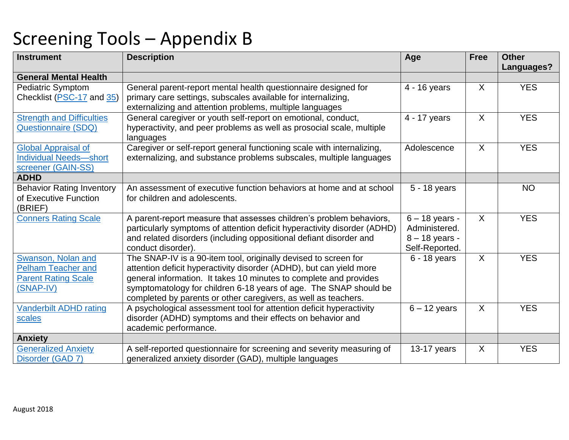| <b>Instrument</b>                                                                          | <b>Description</b>                                                                                                                                                                                                                                                                                                                                 | Age                                                                     | <b>Free</b>  | <b>Other</b> |
|--------------------------------------------------------------------------------------------|----------------------------------------------------------------------------------------------------------------------------------------------------------------------------------------------------------------------------------------------------------------------------------------------------------------------------------------------------|-------------------------------------------------------------------------|--------------|--------------|
| <b>General Mental Health</b>                                                               |                                                                                                                                                                                                                                                                                                                                                    |                                                                         |              | Languages?   |
| Pediatric Symptom                                                                          | General parent-report mental health questionnaire designed for                                                                                                                                                                                                                                                                                     | 4 - 16 years                                                            | $\sf X$      | <b>YES</b>   |
| Checklist (PSC-17 and 35)                                                                  | primary care settings, subscales available for internalizing,<br>externalizing and attention problems, multiple languages                                                                                                                                                                                                                          |                                                                         |              |              |
| <b>Strength and Difficulties</b><br><b>Questionnaire (SDQ)</b>                             | General caregiver or youth self-report on emotional, conduct,<br>hyperactivity, and peer problems as well as prosocial scale, multiple<br>languages                                                                                                                                                                                                | 4 - 17 years                                                            | $\mathsf{X}$ | <b>YES</b>   |
| <b>Global Appraisal of</b><br><b>Individual Needs-short</b><br>screener (GAIN-SS)          | Caregiver or self-report general functioning scale with internalizing,<br>externalizing, and substance problems subscales, multiple languages                                                                                                                                                                                                      | Adolescence                                                             | X            | <b>YES</b>   |
| <b>ADHD</b>                                                                                |                                                                                                                                                                                                                                                                                                                                                    |                                                                         |              |              |
| <b>Behavior Rating Inventory</b><br>of Executive Function<br>(BRIEF)                       | An assessment of executive function behaviors at home and at school<br>for children and adolescents.                                                                                                                                                                                                                                               | 5 - 18 years                                                            |              | <b>NO</b>    |
| <b>Conners Rating Scale</b>                                                                | A parent-report measure that assesses children's problem behaviors,<br>particularly symptoms of attention deficit hyperactivity disorder (ADHD)<br>and related disorders (including oppositional defiant disorder and<br>conduct disorder).                                                                                                        | $6 - 18$ years -<br>Administered.<br>$8 - 18$ years -<br>Self-Reported. | $\mathsf{X}$ | <b>YES</b>   |
| Swanson, Nolan and<br><b>Pelham Teacher and</b><br><b>Parent Rating Scale</b><br>(SNAP-IV) | The SNAP-IV is a 90-item tool, originally devised to screen for<br>attention deficit hyperactivity disorder (ADHD), but can yield more<br>general information. It takes 10 minutes to complete and provides<br>symptomatology for children 6-18 years of age. The SNAP should be<br>completed by parents or other caregivers, as well as teachers. | $6 - 18$ years                                                          | X            | <b>YES</b>   |
| <b>Vanderbilt ADHD rating</b><br>scales                                                    | A psychological assessment tool for attention deficit hyperactivity<br>disorder (ADHD) symptoms and their effects on behavior and<br>academic performance.                                                                                                                                                                                         | $6 - 12$ years                                                          | $\mathsf{X}$ | <b>YES</b>   |
| <b>Anxiety</b>                                                                             |                                                                                                                                                                                                                                                                                                                                                    |                                                                         |              |              |
| <b>Generalized Anxiety</b><br>Disorder (GAD 7)                                             | A self-reported questionnaire for screening and severity measuring of<br>generalized anxiety disorder (GAD), multiple languages                                                                                                                                                                                                                    | 13-17 years                                                             | X            | <b>YES</b>   |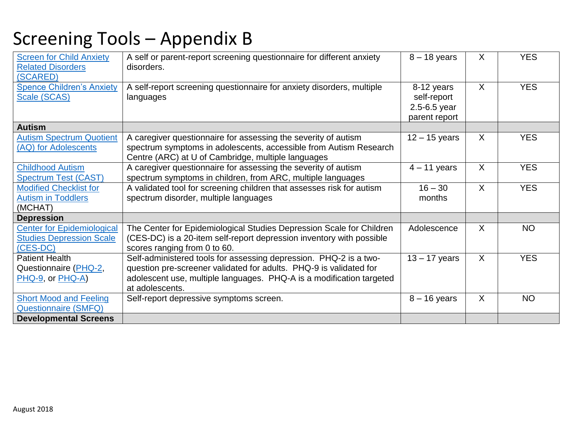| <b>Screen for Child Anxiety</b><br><b>Related Disorders</b><br>(SCARED)          | A self or parent-report screening questionnaire for different anxiety<br>disorders.                                                                                                                                                | $8 - 18$ years                                                 | X            | <b>YES</b> |
|----------------------------------------------------------------------------------|------------------------------------------------------------------------------------------------------------------------------------------------------------------------------------------------------------------------------------|----------------------------------------------------------------|--------------|------------|
| <b>Spence Children's Anxiety</b><br>Scale (SCAS)                                 | A self-report screening questionnaire for anxiety disorders, multiple<br>languages                                                                                                                                                 | 8-12 years<br>self-report<br>$2.5 - 6.5$ year<br>parent report | $\mathsf{X}$ | <b>YES</b> |
| <b>Autism</b>                                                                    |                                                                                                                                                                                                                                    |                                                                |              |            |
| <b>Autism Spectrum Quotient</b><br>(AQ) for Adolescents                          | A caregiver questionnaire for assessing the severity of autism<br>spectrum symptoms in adolescents, accessible from Autism Research<br>Centre (ARC) at U of Cambridge, multiple languages                                          | $12 - 15$ years                                                | $\sf X$      | <b>YES</b> |
| <b>Childhood Autism</b><br><b>Spectrum Test (CAST)</b>                           | A caregiver questionnaire for assessing the severity of autism<br>spectrum symptoms in children, from ARC, multiple languages                                                                                                      | $4 - 11$ years                                                 | $\mathsf{X}$ | <b>YES</b> |
| <b>Modified Checklist for</b><br><b>Autism in Toddlers</b><br>(MCHAT)            | A validated tool for screening children that assesses risk for autism<br>spectrum disorder, multiple languages                                                                                                                     | $16 - 30$<br>months                                            | X            | <b>YES</b> |
| <b>Depression</b>                                                                |                                                                                                                                                                                                                                    |                                                                |              |            |
| <b>Center for Epidemiological</b><br><b>Studies Depression Scale</b><br>(CES-DC) | The Center for Epidemiological Studies Depression Scale for Children<br>(CES-DC) is a 20-item self-report depression inventory with possible<br>scores ranging from 0 to 60.                                                       | Adolescence                                                    | X            | <b>NO</b>  |
| <b>Patient Health</b><br>Questionnaire (PHQ-2,<br>PHQ-9, or PHQ-A)               | Self-administered tools for assessing depression. PHQ-2 is a two-<br>question pre-screener validated for adults. PHQ-9 is validated for<br>adolescent use, multiple languages. PHQ-A is a modification targeted<br>at adolescents. | $13 - 17$ years                                                | $\sf X$      | <b>YES</b> |
| <b>Short Mood and Feeling</b><br><b>Questionnaire (SMFQ)</b>                     | Self-report depressive symptoms screen.                                                                                                                                                                                            | $8 - 16$ years                                                 | $\sf X$      | <b>NO</b>  |
| <b>Developmental Screens</b>                                                     |                                                                                                                                                                                                                                    |                                                                |              |            |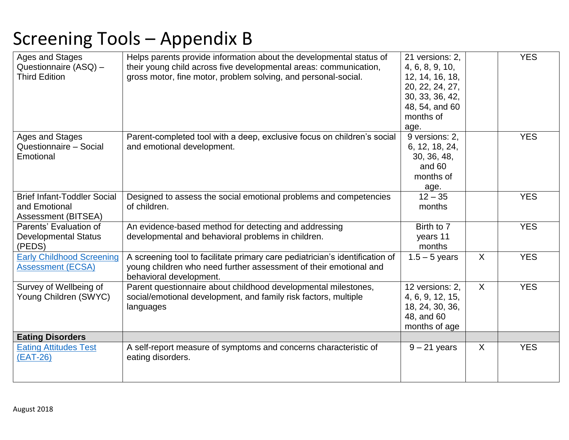| Ages and Stages<br>Questionnaire (ASQ) -<br><b>Third Edition</b>           | Helps parents provide information about the developmental status of<br>their young child across five developmental areas: communication,<br>gross motor, fine motor, problem solving, and personal-social. | 21 versions: 2,<br>4, 6, 8, 9, 10,<br>12, 14, 16, 18,<br>20, 22, 24, 27,<br>30, 33, 36, 42,<br>48, 54, and 60<br>months of<br>age. |              | <b>YES</b> |
|----------------------------------------------------------------------------|------------------------------------------------------------------------------------------------------------------------------------------------------------------------------------------------------------|------------------------------------------------------------------------------------------------------------------------------------|--------------|------------|
| Ages and Stages<br>Questionnaire - Social<br>Emotional                     | Parent-completed tool with a deep, exclusive focus on children's social<br>and emotional development.                                                                                                      | 9 versions: 2,<br>6, 12, 18, 24,<br>30, 36, 48,<br>and 60<br>months of<br>age.                                                     |              | <b>YES</b> |
| <b>Brief Infant-Toddler Social</b><br>and Emotional<br>Assessment (BITSEA) | Designed to assess the social emotional problems and competencies<br>of children.                                                                                                                          | $12 - 35$<br>months                                                                                                                |              | <b>YES</b> |
| Parents' Evaluation of<br><b>Developmental Status</b><br>(PEDS)            | An evidence-based method for detecting and addressing<br>developmental and behavioral problems in children.                                                                                                | Birth to 7<br>years 11<br>months                                                                                                   |              | <b>YES</b> |
| <b>Early Childhood Screening</b><br><b>Assessment (ECSA)</b>               | A screening tool to facilitate primary care pediatrician's identification of<br>young children who need further assessment of their emotional and<br>behavioral development.                               | $1.5 - 5$ years                                                                                                                    | $\mathsf{X}$ | <b>YES</b> |
| Survey of Wellbeing of<br>Young Children (SWYC)                            | Parent questionnaire about childhood developmental milestones,<br>social/emotional development, and family risk factors, multiple<br>languages                                                             | 12 versions: 2,<br>4, 6, 9, 12, 15,<br>18, 24, 30, 36,<br>48, and 60<br>months of age                                              | $\mathsf{X}$ | <b>YES</b> |
| <b>Eating Disorders</b>                                                    |                                                                                                                                                                                                            |                                                                                                                                    |              |            |
| <b>Eating Attitudes Test</b><br>$(EAT-26)$                                 | A self-report measure of symptoms and concerns characteristic of<br>eating disorders.                                                                                                                      | $9 - 21$ years                                                                                                                     | X            | <b>YES</b> |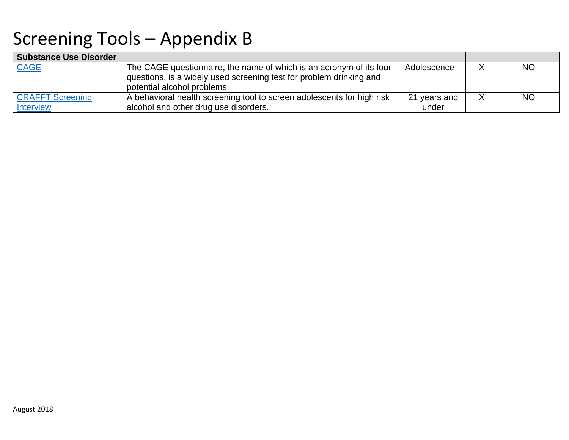| <b>Substance Use Disorder</b> |                                                                        |              |   |           |
|-------------------------------|------------------------------------------------------------------------|--------------|---|-----------|
| <b>CAGE</b>                   | The CAGE questionnaire, the name of which is an acronym of its four    | Adolescence  |   | <b>NO</b> |
|                               | questions, is a widely used screening test for problem drinking and    |              |   |           |
|                               | potential alcohol problems.                                            |              |   |           |
| <b>CRAFFT Screening</b>       | A behavioral health screening tool to screen adolescents for high risk | 21 years and | X | <b>NO</b> |
| <b>Interview</b>              | alcohol and other drug use disorders.                                  | under        |   |           |